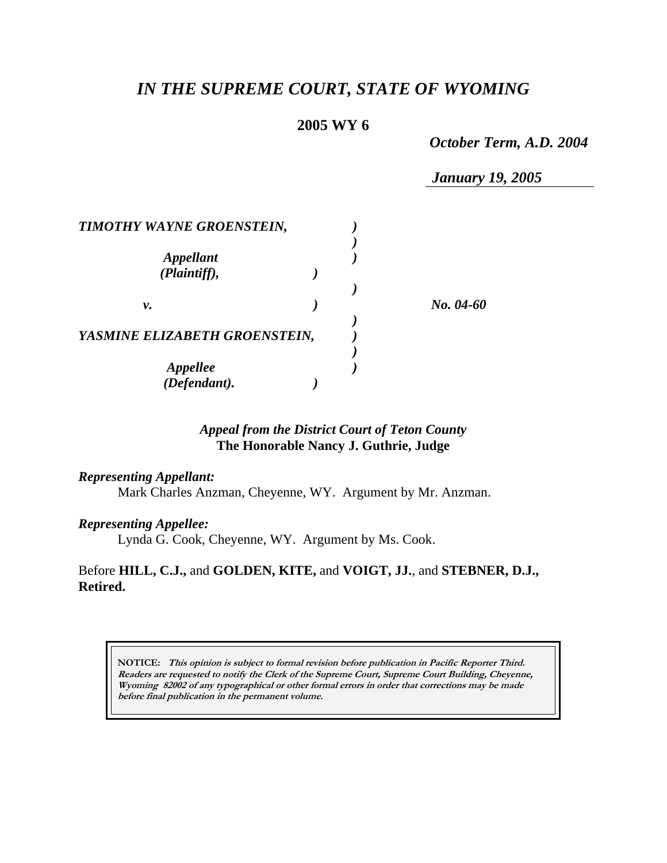# *IN THE SUPREME COURT, STATE OF WYOMING*

# **2005 WY 6**

*October Term, A.D. 2004* 

*January 19, 2005* 

| <b>TIMOTHY WAYNE GROENSTEIN,</b>                    |  |           |
|-----------------------------------------------------|--|-----------|
| <i><b>Appellant</b></i><br>(Plaintiff),             |  |           |
| ν.                                                  |  | No. 04-60 |
| YASMINE ELIZABETH GROENSTEIN,                       |  |           |
| <b>Appellee</b><br>$(\tilde{\textit{Defendant}})$ . |  |           |

# *Appeal from the District Court of Teton County* **The Honorable Nancy J. Guthrie, Judge**

#### *Representing Appellant:*

Mark Charles Anzman, Cheyenne, WY. Argument by Mr. Anzman.

## *Representing Appellee:*

Lynda G. Cook, Cheyenne, WY. Argument by Ms. Cook.

Before **HILL, C.J.,** and **GOLDEN, KITE,** and **VOIGT, JJ.**, and **STEBNER, D.J., Retired.** 

**NOTICE: This opinion is subject to formal revision before publication in Pacific Reporter Third. Readers are requested to notify the Clerk of the Supreme Court, Supreme Court Building, Cheyenne, Wyoming 82002 of any typographical or other formal errors in order that corrections may be made before final publication in the permanent volume.**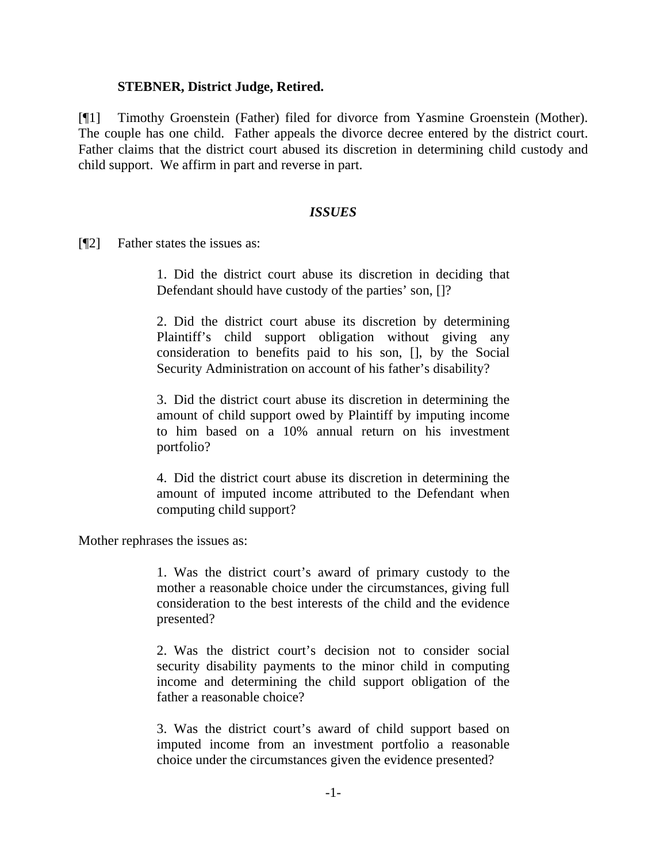### **STEBNER, District Judge, Retired.**

[¶1] Timothy Groenstein (Father) filed for divorce from Yasmine Groenstein (Mother). The couple has one child. Father appeals the divorce decree entered by the district court. Father claims that the district court abused its discretion in determining child custody and child support. We affirm in part and reverse in part.

#### *ISSUES*

[¶2] Father states the issues as:

1. Did the district court abuse its discretion in deciding that Defendant should have custody of the parties' son, []?

2. Did the district court abuse its discretion by determining Plaintiff's child support obligation without giving any consideration to benefits paid to his son, [], by the Social Security Administration on account of his father's disability?

3. Did the district court abuse its discretion in determining the amount of child support owed by Plaintiff by imputing income to him based on a 10% annual return on his investment portfolio?

4. Did the district court abuse its discretion in determining the amount of imputed income attributed to the Defendant when computing child support?

Mother rephrases the issues as:

1. Was the district court's award of primary custody to the mother a reasonable choice under the circumstances, giving full consideration to the best interests of the child and the evidence presented?

2. Was the district court's decision not to consider social security disability payments to the minor child in computing income and determining the child support obligation of the father a reasonable choice?

3. Was the district court's award of child support based on imputed income from an investment portfolio a reasonable choice under the circumstances given the evidence presented?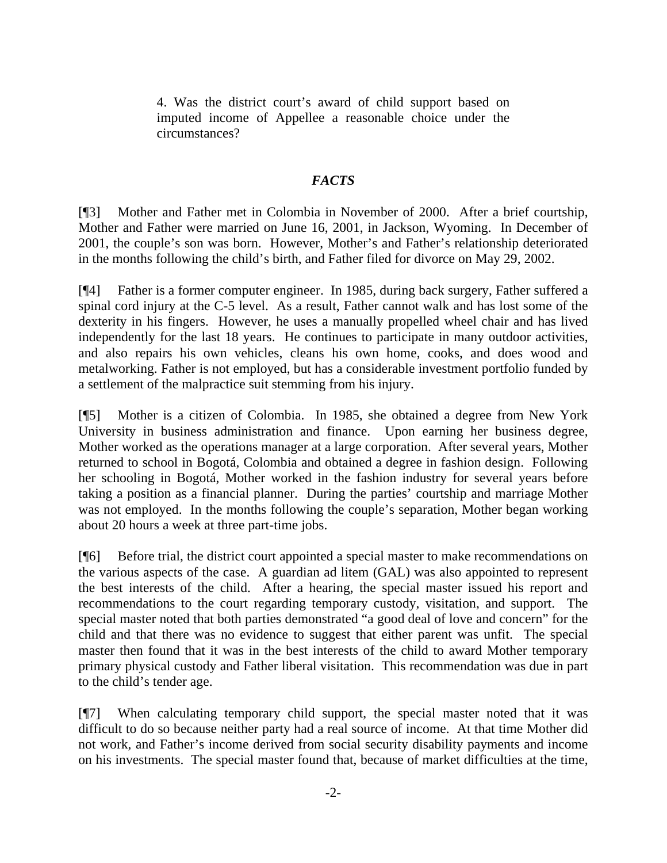4. Was the district court's award of child support based on imputed income of Appellee a reasonable choice under the circumstances?

## *FACTS*

[¶3] Mother and Father met in Colombia in November of 2000. After a brief courtship, Mother and Father were married on June 16, 2001, in Jackson, Wyoming. In December of 2001, the couple's son was born. However, Mother's and Father's relationship deteriorated in the months following the child's birth, and Father filed for divorce on May 29, 2002.

[¶4] Father is a former computer engineer. In 1985, during back surgery, Father suffered a spinal cord injury at the C-5 level. As a result, Father cannot walk and has lost some of the dexterity in his fingers. However, he uses a manually propelled wheel chair and has lived independently for the last 18 years. He continues to participate in many outdoor activities, and also repairs his own vehicles, cleans his own home, cooks, and does wood and metalworking. Father is not employed, but has a considerable investment portfolio funded by a settlement of the malpractice suit stemming from his injury.

[¶5] Mother is a citizen of Colombia. In 1985, she obtained a degree from New York University in business administration and finance. Upon earning her business degree, Mother worked as the operations manager at a large corporation. After several years, Mother returned to school in Bogotá, Colombia and obtained a degree in fashion design. Following her schooling in Bogotá, Mother worked in the fashion industry for several years before taking a position as a financial planner. During the parties' courtship and marriage Mother was not employed. In the months following the couple's separation, Mother began working about 20 hours a week at three part-time jobs.

[¶6] Before trial, the district court appointed a special master to make recommendations on the various aspects of the case. A guardian ad litem (GAL) was also appointed to represent the best interests of the child. After a hearing, the special master issued his report and recommendations to the court regarding temporary custody, visitation, and support. The special master noted that both parties demonstrated "a good deal of love and concern" for the child and that there was no evidence to suggest that either parent was unfit. The special master then found that it was in the best interests of the child to award Mother temporary primary physical custody and Father liberal visitation. This recommendation was due in part to the child's tender age.

[¶7] When calculating temporary child support, the special master noted that it was difficult to do so because neither party had a real source of income. At that time Mother did not work, and Father's income derived from social security disability payments and income on his investments. The special master found that, because of market difficulties at the time,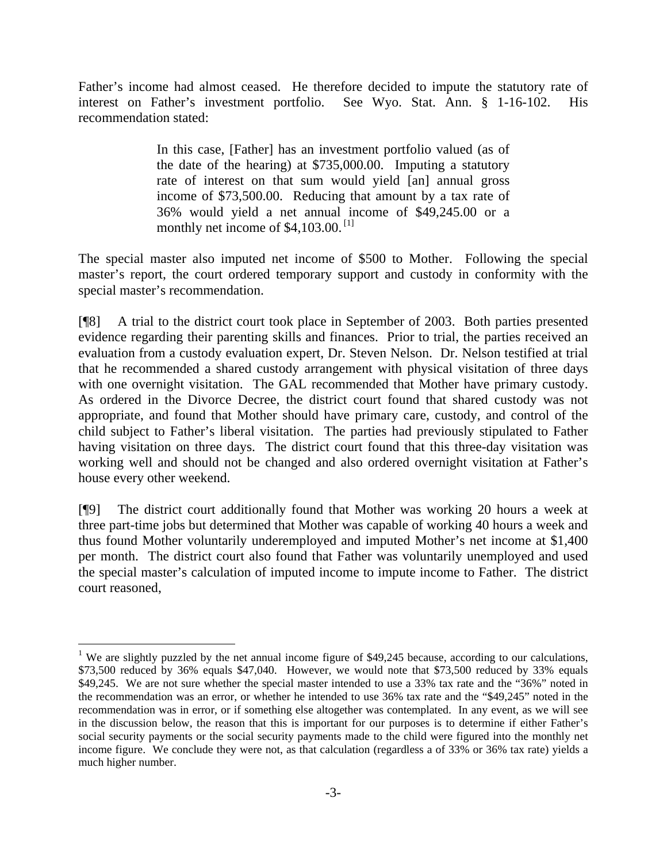Father's income had almost ceased. He therefore decided to impute the statutory rate of interest on Father's investment portfolio. See Wyo. Stat. Ann. § 1-16-102. His recommendation stated:

> In this case, [Father] has an investment portfolio valued (as of the date of the hearing) at \$735,000.00. Imputing a statutory rate of interest on that sum would yield [an] annual gross income of \$73,500.00. Reducing that amount by a tax rate of 36% would yield a net annual income of \$49,245.00 or a monthly net income of  $$4,103.00$  $$4,103.00$  $$4,103.00$ .<sup>[1]</sup>

The special master also imputed net income of \$500 to Mother. Following the special master's report, the court ordered temporary support and custody in conformity with the special master's recommendation.

[¶8] A trial to the district court took place in September of 2003. Both parties presented evidence regarding their parenting skills and finances. Prior to trial, the parties received an evaluation from a custody evaluation expert, Dr. Steven Nelson. Dr. Nelson testified at trial that he recommended a shared custody arrangement with physical visitation of three days with one overnight visitation. The GAL recommended that Mother have primary custody. As ordered in the Divorce Decree, the district court found that shared custody was not appropriate, and found that Mother should have primary care, custody, and control of the child subject to Father's liberal visitation. The parties had previously stipulated to Father having visitation on three days. The district court found that this three-day visitation was working well and should not be changed and also ordered overnight visitation at Father's house every other weekend.

[¶9] The district court additionally found that Mother was working 20 hours a week at three part-time jobs but determined that Mother was capable of working 40 hours a week and thus found Mother voluntarily underemployed and imputed Mother's net income at \$1,400 per month. The district court also found that Father was voluntarily unemployed and used the special master's calculation of imputed income to impute income to Father. The district court reasoned,

<span id="page-3-0"></span><sup>&</sup>lt;sup>1</sup> We are slightly puzzled by the net annual income figure of \$49,245 because, according to our calculations, \$73,500 reduced by 36% equals \$47,040. However, we would note that \$73,500 reduced by 33% equals \$49,245. We are not sure whether the special master intended to use a 33% tax rate and the "36%" noted in the recommendation was an error, or whether he intended to use 36% tax rate and the "\$49,245" noted in the recommendation was in error, or if something else altogether was contemplated. In any event, as we will see in the discussion below, the reason that this is important for our purposes is to determine if either Father's social security payments or the social security payments made to the child were figured into the monthly net income figure. We conclude they were not, as that calculation (regardless a of 33% or 36% tax rate) yields a much higher number.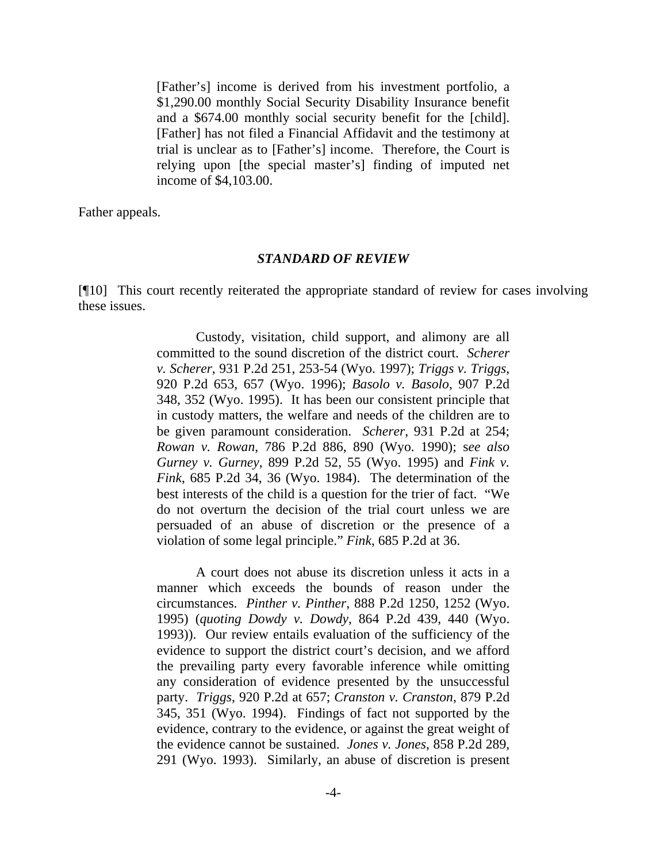[Father's] income is derived from his investment portfolio, a \$1,290.00 monthly Social Security Disability Insurance benefit and a \$674.00 monthly social security benefit for the [child]. [Father] has not filed a Financial Affidavit and the testimony at trial is unclear as to [Father's] income. Therefore, the Court is relying upon [the special master's] finding of imputed net income of \$4,103.00.

Father appeals.

#### *STANDARD OF REVIEW*

[¶10] This court recently reiterated the appropriate standard of review for cases involving these issues.

> Custody, visitation, child support, and alimony are all committed to the sound discretion of the district court. *Scherer v. Scherer*, 931 P.2d 251, 253-54 (Wyo. 1997); *Triggs v. Triggs*, 920 P.2d 653, 657 (Wyo. 1996); *Basolo v. Basolo*, 907 P.2d 348, 352 (Wyo. 1995). It has been our consistent principle that in custody matters, the welfare and needs of the children are to be given paramount consideration. *Scherer*, 931 P.2d at 254; *Rowan v. Rowan*, 786 P.2d 886, 890 (Wyo. 1990); s*ee also Gurney v. Gurney*, 899 P.2d 52, 55 (Wyo. 1995) and *Fink v. Fink*, 685 P.2d 34, 36 (Wyo. 1984). The determination of the best interests of the child is a question for the trier of fact. "We do not overturn the decision of the trial court unless we are persuaded of an abuse of discretion or the presence of a violation of some legal principle." *Fink*, 685 P.2d at 36.

> A court does not abuse its discretion unless it acts in a manner which exceeds the bounds of reason under the circumstances. *Pinther v. Pinther*, 888 P.2d 1250, 1252 (Wyo. 1995) (*quoting Dowdy v. Dowdy*, 864 P.2d 439, 440 (Wyo. 1993)). Our review entails evaluation of the sufficiency of the evidence to support the district court's decision, and we afford the prevailing party every favorable inference while omitting any consideration of evidence presented by the unsuccessful party. *Triggs*, 920 P.2d at 657; *Cranston v. Cranston*, 879 P.2d 345, 351 (Wyo. 1994). Findings of fact not supported by the evidence, contrary to the evidence, or against the great weight of the evidence cannot be sustained. *Jones v. Jones*, 858 P.2d 289, 291 (Wyo. 1993). Similarly, an abuse of discretion is present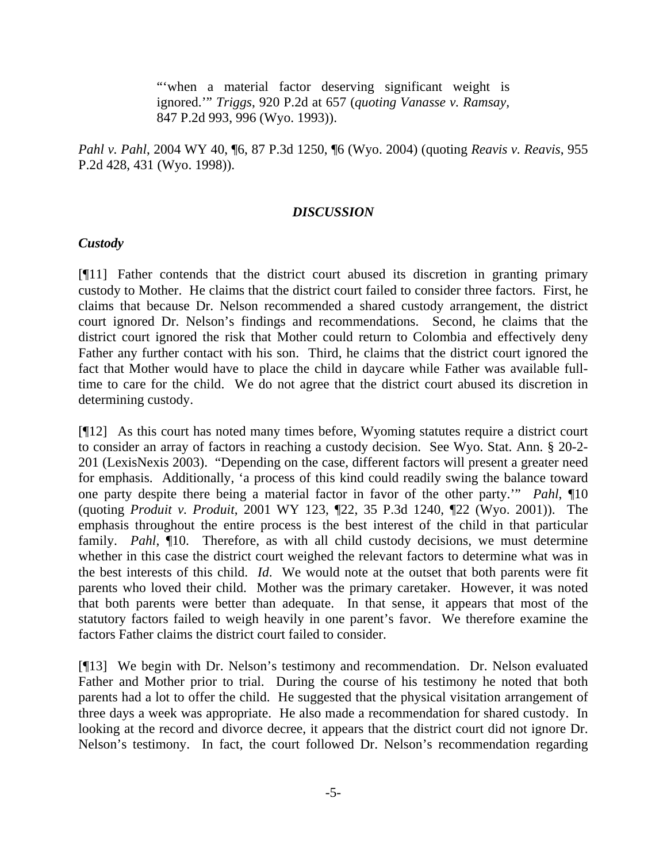"when a material factor deserving significant weight is ignored.'" *Triggs*, 920 P.2d at 657 (*quoting Vanasse v. Ramsay,* 847 P.2d 993, 996 (Wyo. 1993)).

*Pahl v. Pahl*, 2004 WY 40, ¶6, 87 P.3d 1250, ¶6 (Wyo. 2004) (quoting *Reavis v. Reavis*, 955 P.2d 428, 431 (Wyo. 1998)).

#### *DISCUSSION*

### *Custody*

[¶11] Father contends that the district court abused its discretion in granting primary custody to Mother. He claims that the district court failed to consider three factors. First, he claims that because Dr. Nelson recommended a shared custody arrangement, the district court ignored Dr. Nelson's findings and recommendations. Second, he claims that the district court ignored the risk that Mother could return to Colombia and effectively deny Father any further contact with his son. Third, he claims that the district court ignored the fact that Mother would have to place the child in daycare while Father was available fulltime to care for the child. We do not agree that the district court abused its discretion in determining custody.

[¶12] As this court has noted many times before, Wyoming statutes require a district court to consider an array of factors in reaching a custody decision. See Wyo. Stat. Ann. § 20-2- 201 (LexisNexis 2003). "Depending on the case, different factors will present a greater need for emphasis. Additionally, 'a process of this kind could readily swing the balance toward one party despite there being a material factor in favor of the other party.'" *Pahl*, ¶10 (quoting *Produit v. Produit*, 2001 WY 123, ¶22, 35 P.3d 1240, ¶22 (Wyo. 2001)). The emphasis throughout the entire process is the best interest of the child in that particular family. *Pahl*, 10. Therefore, as with all child custody decisions, we must determine whether in this case the district court weighed the relevant factors to determine what was in the best interests of this child. *Id*. We would note at the outset that both parents were fit parents who loved their child. Mother was the primary caretaker. However, it was noted that both parents were better than adequate. In that sense, it appears that most of the statutory factors failed to weigh heavily in one parent's favor. We therefore examine the factors Father claims the district court failed to consider.

[¶13] We begin with Dr. Nelson's testimony and recommendation. Dr. Nelson evaluated Father and Mother prior to trial. During the course of his testimony he noted that both parents had a lot to offer the child. He suggested that the physical visitation arrangement of three days a week was appropriate. He also made a recommendation for shared custody. In looking at the record and divorce decree, it appears that the district court did not ignore Dr. Nelson's testimony. In fact, the court followed Dr. Nelson's recommendation regarding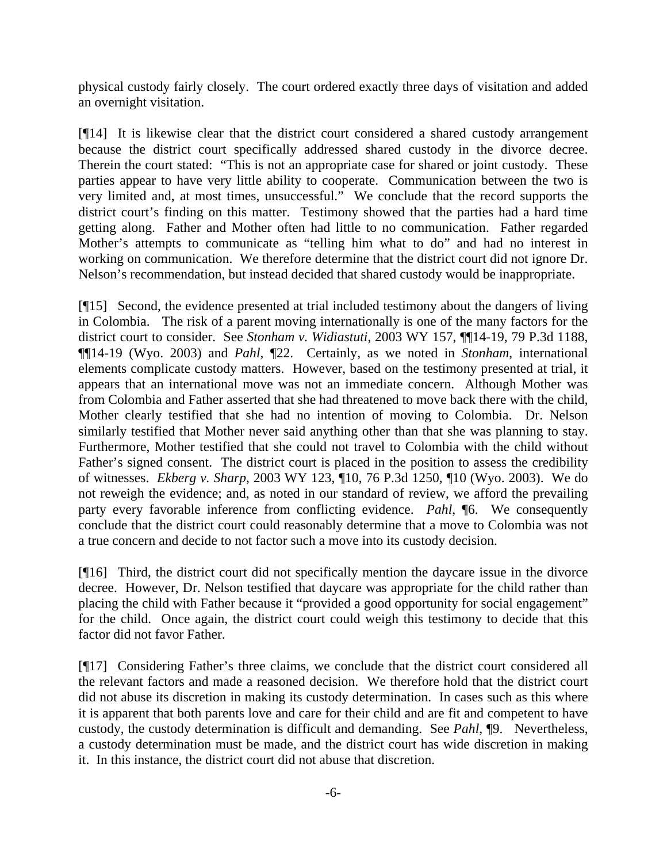physical custody fairly closely. The court ordered exactly three days of visitation and added an overnight visitation.

[¶14] It is likewise clear that the district court considered a shared custody arrangement because the district court specifically addressed shared custody in the divorce decree. Therein the court stated: "This is not an appropriate case for shared or joint custody. These parties appear to have very little ability to cooperate. Communication between the two is very limited and, at most times, unsuccessful." We conclude that the record supports the district court's finding on this matter. Testimony showed that the parties had a hard time getting along. Father and Mother often had little to no communication. Father regarded Mother's attempts to communicate as "telling him what to do" and had no interest in working on communication. We therefore determine that the district court did not ignore Dr. Nelson's recommendation, but instead decided that shared custody would be inappropriate.

[¶15] Second, the evidence presented at trial included testimony about the dangers of living in Colombia. The risk of a parent moving internationally is one of the many factors for the district court to consider. See *Stonham v. Widiastuti*, 2003 WY 157, ¶¶14-19, 79 P.3d 1188, ¶¶14-19 (Wyo. 2003) and *Pahl,* ¶22. Certainly, as we noted in *Stonham*, international elements complicate custody matters. However, based on the testimony presented at trial, it appears that an international move was not an immediate concern. Although Mother was from Colombia and Father asserted that she had threatened to move back there with the child, Mother clearly testified that she had no intention of moving to Colombia. Dr. Nelson similarly testified that Mother never said anything other than that she was planning to stay. Furthermore, Mother testified that she could not travel to Colombia with the child without Father's signed consent. The district court is placed in the position to assess the credibility of witnesses. *Ekberg v. Sharp*, 2003 WY 123, ¶10, 76 P.3d 1250, ¶10 (Wyo. 2003). We do not reweigh the evidence; and, as noted in our standard of review, we afford the prevailing party every favorable inference from conflicting evidence. *Pahl*, ¶6. We consequently conclude that the district court could reasonably determine that a move to Colombia was not a true concern and decide to not factor such a move into its custody decision.

[¶16] Third, the district court did not specifically mention the daycare issue in the divorce decree. However, Dr. Nelson testified that daycare was appropriate for the child rather than placing the child with Father because it "provided a good opportunity for social engagement" for the child. Once again, the district court could weigh this testimony to decide that this factor did not favor Father.

[¶17] Considering Father's three claims, we conclude that the district court considered all the relevant factors and made a reasoned decision. We therefore hold that the district court did not abuse its discretion in making its custody determination. In cases such as this where it is apparent that both parents love and care for their child and are fit and competent to have custody, the custody determination is difficult and demanding. See *Pahl*, ¶9. Nevertheless, a custody determination must be made, and the district court has wide discretion in making it. In this instance, the district court did not abuse that discretion.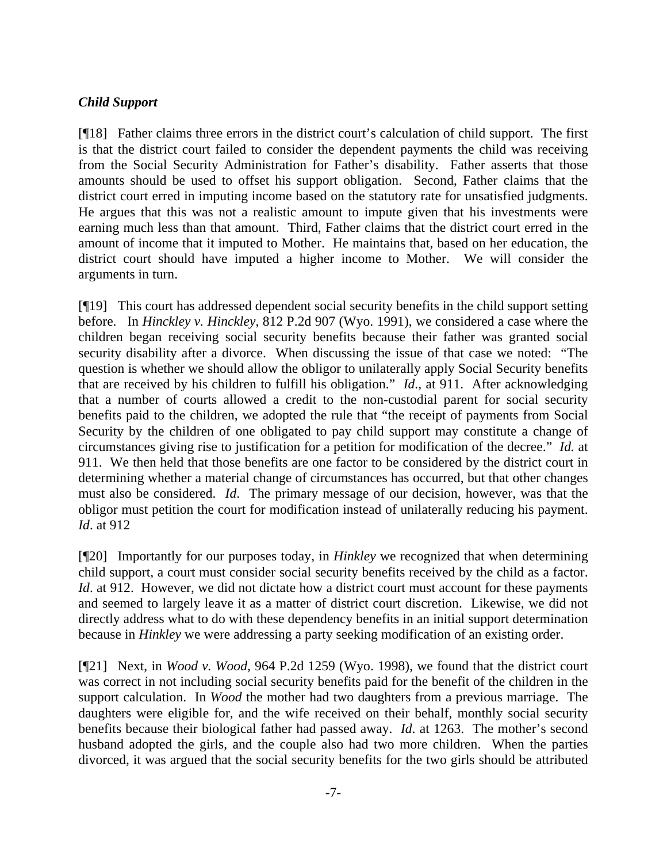# *Child Support*

[¶18] Father claims three errors in the district court's calculation of child support. The first is that the district court failed to consider the dependent payments the child was receiving from the Social Security Administration for Father's disability. Father asserts that those amounts should be used to offset his support obligation. Second, Father claims that the district court erred in imputing income based on the statutory rate for unsatisfied judgments. He argues that this was not a realistic amount to impute given that his investments were earning much less than that amount. Third, Father claims that the district court erred in the amount of income that it imputed to Mother. He maintains that, based on her education, the district court should have imputed a higher income to Mother. We will consider the arguments in turn.

[¶19] This court has addressed dependent social security benefits in the child support setting before. In *Hinckley v. Hinckley*, 812 P.2d 907 (Wyo. 1991), we considered a case where the children began receiving social security benefits because their father was granted social security disability after a divorce. When discussing the issue of that case we noted: "The question is whether we should allow the obligor to unilaterally apply Social Security benefits that are received by his children to fulfill his obligation." *Id*., at 911. After acknowledging that a number of courts allowed a credit to the non-custodial parent for social security benefits paid to the children, we adopted the rule that "the receipt of payments from Social Security by the children of one obligated to pay child support may constitute a change of circumstances giving rise to justification for a petition for modification of the decree." *Id.* at 911. We then held that those benefits are one factor to be considered by the district court in determining whether a material change of circumstances has occurred, but that other changes must also be considered. *Id*. The primary message of our decision, however, was that the obligor must petition the court for modification instead of unilaterally reducing his payment. *Id*. at 912

[¶20] Importantly for our purposes today, in *Hinkley* we recognized that when determining child support, a court must consider social security benefits received by the child as a factor. *Id.* at 912. However, we did not dictate how a district court must account for these payments and seemed to largely leave it as a matter of district court discretion. Likewise, we did not directly address what to do with these dependency benefits in an initial support determination because in *Hinkley* we were addressing a party seeking modification of an existing order.

[¶21] Next, in *Wood v. Wood*, 964 P.2d 1259 (Wyo. 1998), we found that the district court was correct in not including social security benefits paid for the benefit of the children in the support calculation. In *Wood* the mother had two daughters from a previous marriage. The daughters were eligible for, and the wife received on their behalf, monthly social security benefits because their biological father had passed away. *Id*. at 1263. The mother's second husband adopted the girls, and the couple also had two more children. When the parties divorced, it was argued that the social security benefits for the two girls should be attributed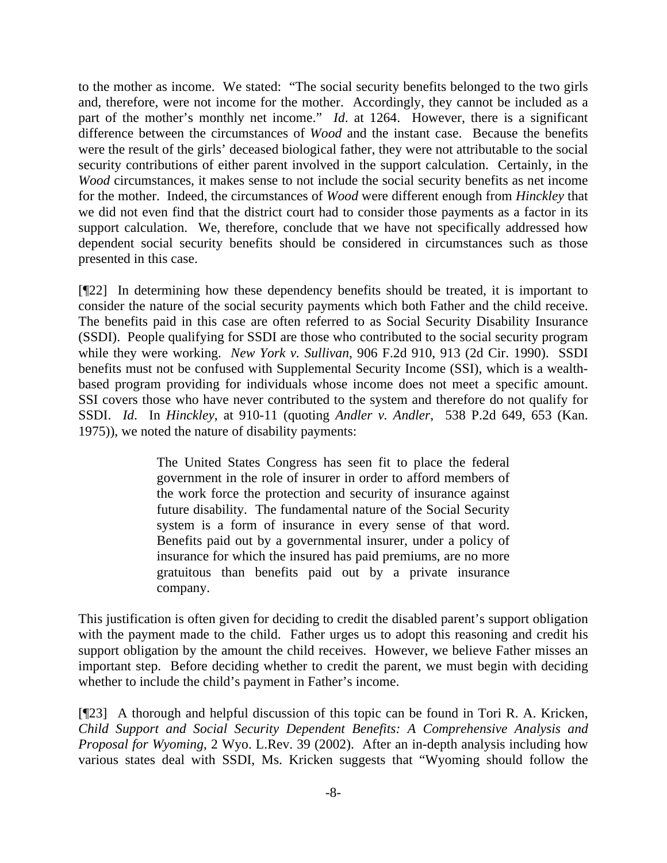to the mother as income. We stated: "The social security benefits belonged to the two girls and, therefore, were not income for the mother. Accordingly, they cannot be included as a part of the mother's monthly net income." *Id*. at 1264. However, there is a significant difference between the circumstances of *Wood* and the instant case. Because the benefits were the result of the girls' deceased biological father, they were not attributable to the social security contributions of either parent involved in the support calculation. Certainly, in the *Wood* circumstances, it makes sense to not include the social security benefits as net income for the mother. Indeed, the circumstances of *Wood* were different enough from *Hinckley* that we did not even find that the district court had to consider those payments as a factor in its support calculation. We, therefore, conclude that we have not specifically addressed how dependent social security benefits should be considered in circumstances such as those presented in this case.

[¶22] In determining how these dependency benefits should be treated, it is important to consider the nature of the social security payments which both Father and the child receive. The benefits paid in this case are often referred to as Social Security Disability Insurance (SSDI). People qualifying for SSDI are those who contributed to the social security program while they were working. *New York v. Sullivan*, 906 F.2d 910, 913 (2d Cir. 1990). SSDI benefits must not be confused with Supplemental Security Income (SSI), which is a wealthbased program providing for individuals whose income does not meet a specific amount. SSI covers those who have never contributed to the system and therefore do not qualify for SSDI. *Id*. In *Hinckley*, at 910-11 (quoting *Andler v. Andler*, 538 P.2d 649, 653 (Kan. 1975)), we noted the nature of disability payments:

> The United States Congress has seen fit to place the federal government in the role of insurer in order to afford members of the work force the protection and security of insurance against future disability. The fundamental nature of the Social Security system is a form of insurance in every sense of that word. Benefits paid out by a governmental insurer, under a policy of insurance for which the insured has paid premiums, are no more gratuitous than benefits paid out by a private insurance company.

This justification is often given for deciding to credit the disabled parent's support obligation with the payment made to the child. Father urges us to adopt this reasoning and credit his support obligation by the amount the child receives. However, we believe Father misses an important step. Before deciding whether to credit the parent, we must begin with deciding whether to include the child's payment in Father's income.

[¶23] A thorough and helpful discussion of this topic can be found in Tori R. A. Kricken, *Child Support and Social Security Dependent Benefits: A Comprehensive Analysis and Proposal for Wyoming*, 2 Wyo. L.Rev. 39 (2002). After an in-depth analysis including how various states deal with SSDI, Ms. Kricken suggests that "Wyoming should follow the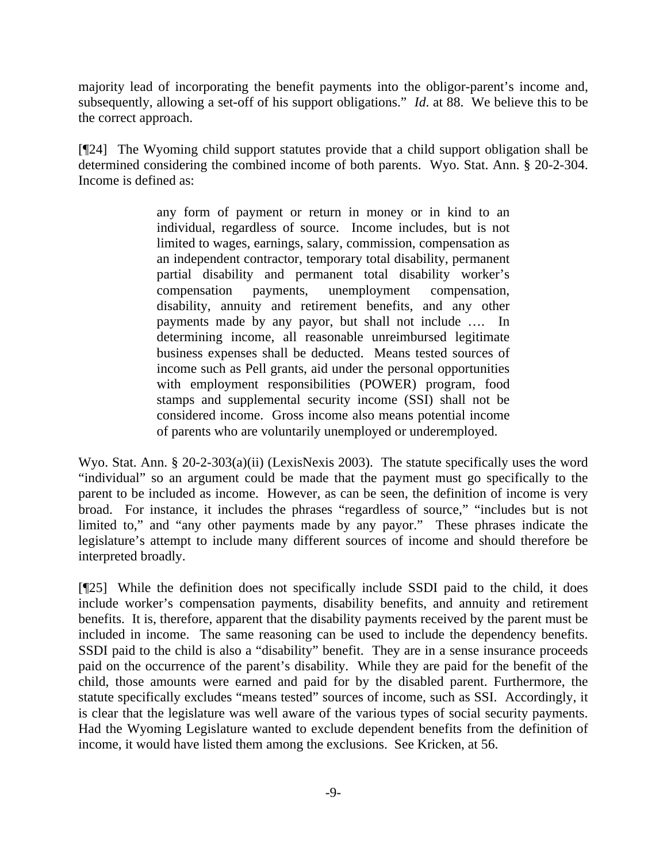majority lead of incorporating the benefit payments into the obligor-parent's income and, subsequently, allowing a set-off of his support obligations." *Id*. at 88. We believe this to be the correct approach.

[¶24] The Wyoming child support statutes provide that a child support obligation shall be determined considering the combined income of both parents. Wyo. Stat. Ann. § 20-2-304. Income is defined as:

> any form of payment or return in money or in kind to an individual, regardless of source. Income includes, but is not limited to wages, earnings, salary, commission, compensation as an independent contractor, temporary total disability, permanent partial disability and permanent total disability worker's compensation payments, unemployment compensation, disability, annuity and retirement benefits, and any other payments made by any payor, but shall not include …. In determining income, all reasonable unreimbursed legitimate business expenses shall be deducted. Means tested sources of income such as Pell grants, aid under the personal opportunities with employment responsibilities (POWER) program, food stamps and supplemental security income (SSI) shall not be considered income. Gross income also means potential income of parents who are voluntarily unemployed or underemployed.

Wyo. Stat. Ann. § 20-2-303(a)(ii) (LexisNexis 2003). The statute specifically uses the word "individual" so an argument could be made that the payment must go specifically to the parent to be included as income. However, as can be seen, the definition of income is very broad. For instance, it includes the phrases "regardless of source," "includes but is not limited to," and "any other payments made by any payor." These phrases indicate the legislature's attempt to include many different sources of income and should therefore be interpreted broadly.

[¶25] While the definition does not specifically include SSDI paid to the child, it does include worker's compensation payments, disability benefits, and annuity and retirement benefits. It is, therefore, apparent that the disability payments received by the parent must be included in income. The same reasoning can be used to include the dependency benefits. SSDI paid to the child is also a "disability" benefit. They are in a sense insurance proceeds paid on the occurrence of the parent's disability. While they are paid for the benefit of the child, those amounts were earned and paid for by the disabled parent. Furthermore, the statute specifically excludes "means tested" sources of income, such as SSI. Accordingly, it is clear that the legislature was well aware of the various types of social security payments. Had the Wyoming Legislature wanted to exclude dependent benefits from the definition of income, it would have listed them among the exclusions. See Kricken, at 56.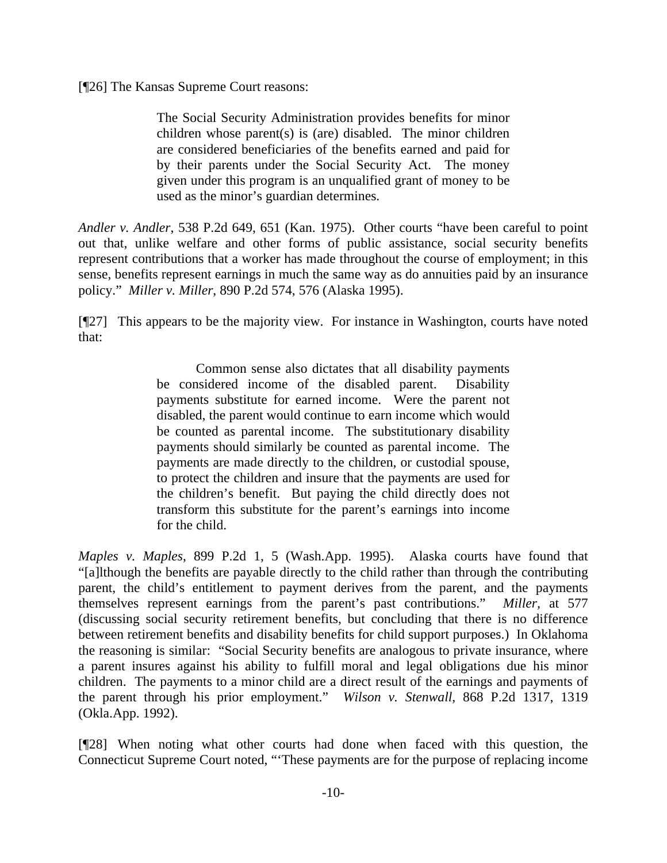[¶26] The Kansas Supreme Court reasons:

The Social Security Administration provides benefits for minor children whose parent(s) is (are) disabled. The minor children are considered beneficiaries of the benefits earned and paid for by their parents under the Social Security Act. The money given under this program is an unqualified grant of money to be used as the minor's guardian determines.

*Andler v. Andler*, 538 P.2d 649, 651 (Kan. 1975). Other courts "have been careful to point out that, unlike welfare and other forms of public assistance, social security benefits represent contributions that a worker has made throughout the course of employment; in this sense, benefits represent earnings in much the same way as do annuities paid by an insurance policy." *Miller v. Miller*, 890 P.2d 574, 576 (Alaska 1995).

[¶27] This appears to be the majority view. For instance in Washington, courts have noted that:

> Common sense also dictates that all disability payments be considered income of the disabled parent. Disability payments substitute for earned income. Were the parent not disabled, the parent would continue to earn income which would be counted as parental income. The substitutionary disability payments should similarly be counted as parental income. The payments are made directly to the children, or custodial spouse, to protect the children and insure that the payments are used for the children's benefit. But paying the child directly does not transform this substitute for the parent's earnings into income for the child.

*Maples v. Maples*, 899 P.2d 1, 5 (Wash.App. 1995). Alaska courts have found that "[a]lthough the benefits are payable directly to the child rather than through the contributing parent, the child's entitlement to payment derives from the parent, and the payments themselves represent earnings from the parent's past contributions." *Miller,* at 577 (discussing social security retirement benefits, but concluding that there is no difference between retirement benefits and disability benefits for child support purposes.) In Oklahoma the reasoning is similar: "Social Security benefits are analogous to private insurance, where a parent insures against his ability to fulfill moral and legal obligations due his minor children. The payments to a minor child are a direct result of the earnings and payments of the parent through his prior employment." *Wilson v. Stenwall*, 868 P.2d 1317, 1319 (Okla.App. 1992).

[¶28] When noting what other courts had done when faced with this question, the Connecticut Supreme Court noted, "'These payments are for the purpose of replacing income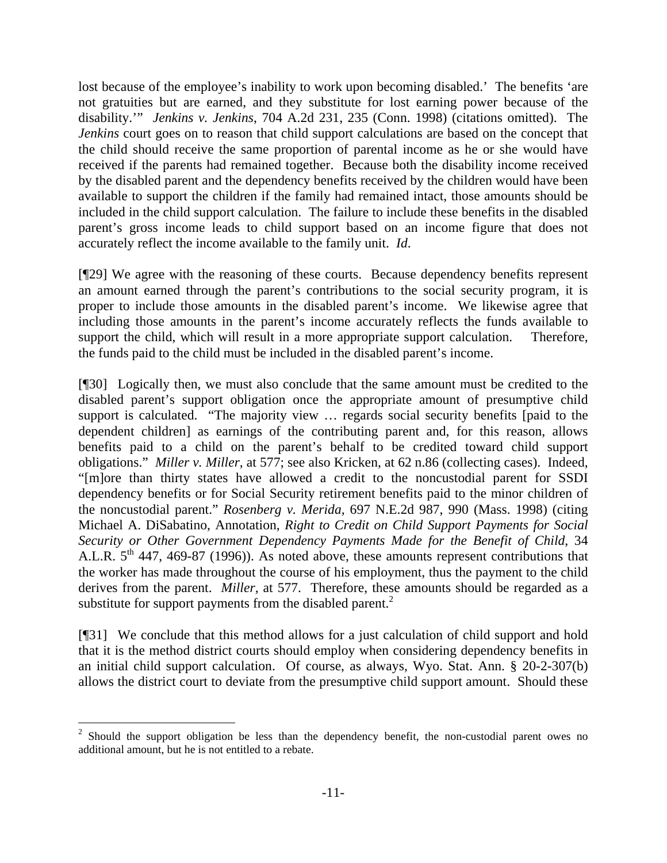lost because of the employee's inability to work upon becoming disabled.' The benefits 'are not gratuities but are earned, and they substitute for lost earning power because of the disability.'" *Jenkins v. Jenkins*, 704 A.2d 231, 235 (Conn. 1998) (citations omitted). The *Jenkins* court goes on to reason that child support calculations are based on the concept that the child should receive the same proportion of parental income as he or she would have received if the parents had remained together. Because both the disability income received by the disabled parent and the dependency benefits received by the children would have been available to support the children if the family had remained intact, those amounts should be included in the child support calculation. The failure to include these benefits in the disabled parent's gross income leads to child support based on an income figure that does not accurately reflect the income available to the family unit. *Id*.

[¶29] We agree with the reasoning of these courts. Because dependency benefits represent an amount earned through the parent's contributions to the social security program, it is proper to include those amounts in the disabled parent's income. We likewise agree that including those amounts in the parent's income accurately reflects the funds available to support the child, which will result in a more appropriate support calculation. Therefore, the funds paid to the child must be included in the disabled parent's income.

[¶30] Logically then, we must also conclude that the same amount must be credited to the disabled parent's support obligation once the appropriate amount of presumptive child support is calculated. "The majority view … regards social security benefits [paid to the dependent children] as earnings of the contributing parent and, for this reason, allows benefits paid to a child on the parent's behalf to be credited toward child support obligations." *Miller v. Miller*, at 577; see also Kricken, at 62 n.86 (collecting cases). Indeed, "[m]ore than thirty states have allowed a credit to the noncustodial parent for SSDI dependency benefits or for Social Security retirement benefits paid to the minor children of the noncustodial parent." *Rosenberg v. Merida,* 697 N.E.2d 987, 990 (Mass. 1998) (citing Michael A. DiSabatino, Annotation, *Right to Credit on Child Support Payments for Social Security or Other Government Dependency Payments Made for the Benefit of Child*, 34 A.L.R.  $5<sup>th</sup>$  447, 469-87 (1996)). As noted above, these amounts represent contributions that the worker has made throughout the course of his employment, thus the payment to the child derives from the parent. *Miller,* at 577. Therefore, these amounts should be regarded as a substitute for support payments from the disabled parent. $^{2}$  $^{2}$  $^{2}$ 

[¶31] We conclude that this method allows for a just calculation of child support and hold that it is the method district courts should employ when considering dependency benefits in an initial child support calculation. Of course, as always, Wyo. Stat. Ann. § 20-2-307(b) allows the district court to deviate from the presumptive child support amount. Should these

l

<span id="page-11-0"></span> $2$  Should the support obligation be less than the dependency benefit, the non-custodial parent owes no additional amount, but he is not entitled to a rebate.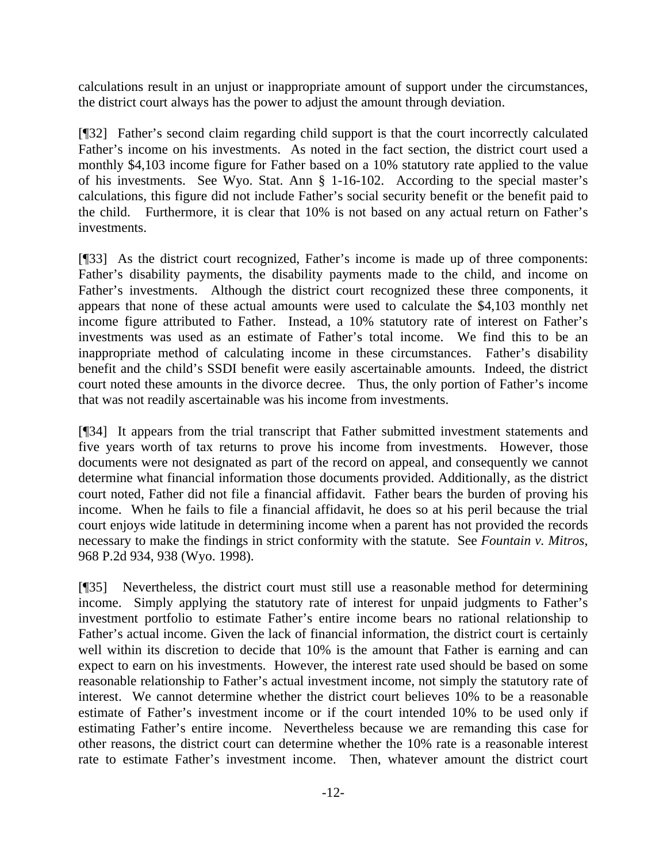calculations result in an unjust or inappropriate amount of support under the circumstances, the district court always has the power to adjust the amount through deviation.

[¶32] Father's second claim regarding child support is that the court incorrectly calculated Father's income on his investments. As noted in the fact section, the district court used a monthly \$4,103 income figure for Father based on a 10% statutory rate applied to the value of his investments. See Wyo. Stat. Ann § 1-16-102. According to the special master's calculations, this figure did not include Father's social security benefit or the benefit paid to the child. Furthermore, it is clear that 10% is not based on any actual return on Father's investments.

[¶33] As the district court recognized, Father's income is made up of three components: Father's disability payments, the disability payments made to the child, and income on Father's investments. Although the district court recognized these three components, it appears that none of these actual amounts were used to calculate the \$4,103 monthly net income figure attributed to Father. Instead, a 10% statutory rate of interest on Father's investments was used as an estimate of Father's total income. We find this to be an inappropriate method of calculating income in these circumstances. Father's disability benefit and the child's SSDI benefit were easily ascertainable amounts. Indeed, the district court noted these amounts in the divorce decree. Thus, the only portion of Father's income that was not readily ascertainable was his income from investments.

[¶34] It appears from the trial transcript that Father submitted investment statements and five years worth of tax returns to prove his income from investments. However, those documents were not designated as part of the record on appeal, and consequently we cannot determine what financial information those documents provided. Additionally, as the district court noted, Father did not file a financial affidavit. Father bears the burden of proving his income. When he fails to file a financial affidavit, he does so at his peril because the trial court enjoys wide latitude in determining income when a parent has not provided the records necessary to make the findings in strict conformity with the statute. See *Fountain v. Mitros*, 968 P.2d 934, 938 (Wyo. 1998).

[¶35] Nevertheless, the district court must still use a reasonable method for determining income. Simply applying the statutory rate of interest for unpaid judgments to Father's investment portfolio to estimate Father's entire income bears no rational relationship to Father's actual income. Given the lack of financial information, the district court is certainly well within its discretion to decide that 10% is the amount that Father is earning and can expect to earn on his investments. However, the interest rate used should be based on some reasonable relationship to Father's actual investment income, not simply the statutory rate of interest. We cannot determine whether the district court believes 10% to be a reasonable estimate of Father's investment income or if the court intended 10% to be used only if estimating Father's entire income. Nevertheless because we are remanding this case for other reasons, the district court can determine whether the 10% rate is a reasonable interest rate to estimate Father's investment income. Then, whatever amount the district court